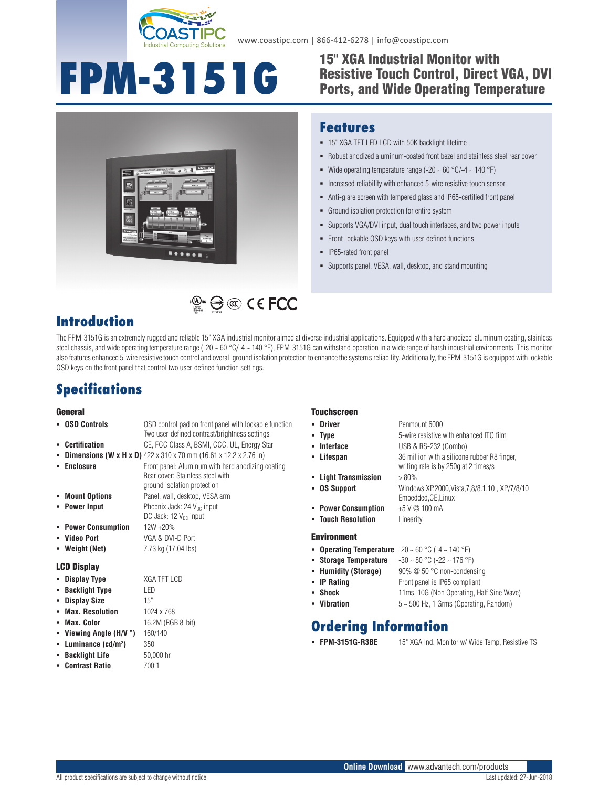

www.coastipc.com | 866-412-6278 | info@coastipc.com

# **FPM-3151G**

#### 15" XGA Industrial Monitor with Resistive Touch Control, Direct VGA, DVI Ports, and Wide Operating Temperature



#### **Features**

- 15" XGA TFT LED LCD with 50K backlight lifetime
- Robust anodized aluminum-coated front bezel and stainless steel rear cover
- Wide operating temperature range (-20  $\sim$  60 °C/-4  $\sim$  140 °F)
- **-** Increased reliability with enhanced 5-wire resistive touch sensor
- Anti-glare screen with tempered glass and IP65-certified front panel
- Ground isolation protection for entire system
- Supports VGA/DVI input, dual touch interfaces, and two power inputs
- Front-lockable OSD keys with user-defined functions
- **IP65-rated front panel**
- Supports panel, VESA, wall, desktop, and stand mounting

### **Introduction**

The FPM-3151G is an extremely rugged and reliable 15" XGA industrial monitor aimed at diverse industrial applications. Equipped with a hard anodized-aluminum coating, stainless steel chassis, and wide operating temperature range  $(-20 \sim 60\degree C/A \sim 140\degree F)$ , FPM-3151G can withstand operation in a wide range of harsh industrial environments. This monitor also features enhanced 5-wire resistive touch control and overall ground isolation protection to enhance the system's reliability. Additionally, the FPM-3151G is equipped with lockable OSD keys on the front panel that control two user-defined function settings.

**EXECUTE CONTROL** 

#### **Specifications**

#### General

| OSD control pad on front panel with lockable function                                  | - Driver                                                                           | Penmount 6000                                                    |
|----------------------------------------------------------------------------------------|------------------------------------------------------------------------------------|------------------------------------------------------------------|
| Two user-defined contrast/brightness settings                                          | - Type                                                                             | 5-wire resistive with enhanced ITO film                          |
| CE, FCC Class A, BSMI, CCC, UL, Energy Star                                            | • Interface                                                                        | USB & RS-232 (Combo)                                             |
| <b>- Dimensions (W x H x D)</b> $422 \times 310 \times 70$ mm (16.61 x 12.2 x 2.76 in) | • Lifespan                                                                         | 36 million with a silicone rubber R8 finger,                     |
| Front panel: Aluminum with hard anodizing coating                                      |                                                                                    | writing rate is by 250g at 2 times/s                             |
| Rear cover: Stainless steel with                                                       | - Light Transmission                                                               | $>80\%$                                                          |
| ground isolation protection                                                            | • OS Support                                                                       | Windows XP, 2000, Vista, 7, 8/8.1, 10, XP/7/8/10                 |
| Panel, wall, desktop, VESA arm                                                         |                                                                                    | Embedded, CE, Linux                                              |
| Phoenix Jack: $24$ V <sub>pc</sub> input                                               | • Power Consumption                                                                | +5 V @ 100 mA                                                    |
| DC Jack: 12 V <sub>pc</sub> input                                                      | " Touch Resolution                                                                 | Linearity                                                        |
| 12W +20%                                                                               |                                                                                    |                                                                  |
| VGA & DVI-D Port                                                                       |                                                                                    |                                                                  |
| 7.73 kg (17.04 lbs)                                                                    | <b>• Operating Temperature</b> $-20 \sim 60 \degree C$ ( $-4 \sim 140 \degree F$ ) |                                                                  |
|                                                                                        | • Storage Temperature                                                              | $-30 \sim 80$ °C ( $-22 \sim 176$ °F)                            |
|                                                                                        | • Humidity (Storage)                                                               | 90% $@$ 50 °C non-condensing                                     |
| <b>XGA TFT LCD</b>                                                                     | • IP Rating                                                                        | Front panel is IP65 compliant                                    |
| LED                                                                                    | • Shock                                                                            | 11ms, 10G (Non Operating, Half Sine Wave)                        |
| 15"                                                                                    |                                                                                    | $5 \sim 500$ Hz, 1 Grms (Operating, Random)                      |
| 1024 x 768                                                                             |                                                                                    |                                                                  |
| 16.2M (RGB 8-bit)                                                                      |                                                                                    |                                                                  |
| 160/140                                                                                |                                                                                    |                                                                  |
| 350                                                                                    | <b>- FPM-3151G-R3BE</b>                                                            | 15" XGA Ind. Monitor w/ Wide Temp, Resistive TS                  |
| 50,000 hr                                                                              |                                                                                    |                                                                  |
|                                                                                        |                                                                                    | <b>Environment</b><br>• Vibration<br><b>Ordering Information</b> |

#### Touchscreen

| <b>Driver</b>             | Penmount 6000                                                                        |  |
|---------------------------|--------------------------------------------------------------------------------------|--|
| Type                      | 5-wire resistive with enhanced ITO film                                              |  |
| <b>Interface</b>          | USB & RS-232 (Combo)                                                                 |  |
| Lifespan                  | 36 million with a silicone rubber R8 finger,<br>writing rate is by 250g at 2 times/s |  |
| <b>Light Transmission</b> | $> 80\%$                                                                             |  |
| <b>OS Support</b>         | Windows XP,2000, Vista, 7,8/8.1, 10, XP/7/8/10<br>Embedded, CE, Linux                |  |
| <b>Power Consumption</b>  | $+5$ V $@$ 100 mA                                                                    |  |
| <b>Touch Resolution</b>   | Linearity                                                                            |  |
| بالمصامح ومحامد والماليات |                                                                                      |  |

**Contrast Ratio** 700:1